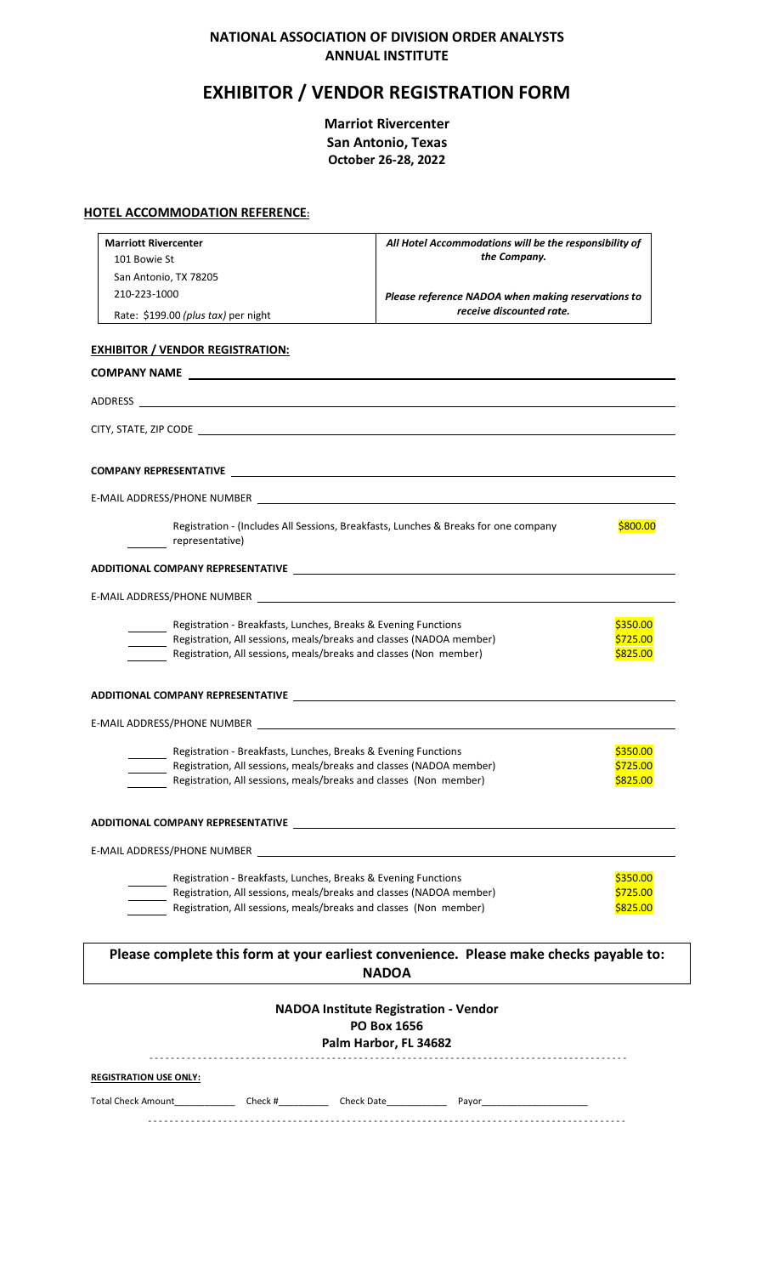# **NATIONAL ASSOCIATION OF DIVISION ORDER ANALYSTS ANNUAL INSTITUTE**

# **EXHIBITOR / VENDOR REGISTRATION FORM**

**Marriot Rivercenter San Antonio, Texas October 26-28, 2022**

### **HOTEL ACCOMMODATION REFERENCE:**

| <b>Marriott Rivercenter</b>                                                                                     | All Hotel Accommodations will be the responsibility of                                 |          |
|-----------------------------------------------------------------------------------------------------------------|----------------------------------------------------------------------------------------|----------|
| 101 Bowie St                                                                                                    | the Company.                                                                           |          |
| San Antonio, TX 78205                                                                                           |                                                                                        |          |
| 210-223-1000                                                                                                    | Please reference NADOA when making reservations to                                     |          |
| Rate: \$199.00 (plus tax) per night                                                                             | receive discounted rate.                                                               |          |
| <b>EXHIBITOR / VENDOR REGISTRATION:</b>                                                                         |                                                                                        |          |
|                                                                                                                 |                                                                                        |          |
|                                                                                                                 |                                                                                        |          |
|                                                                                                                 |                                                                                        |          |
|                                                                                                                 |                                                                                        |          |
|                                                                                                                 |                                                                                        |          |
| Registration - (Includes All Sessions, Breakfasts, Lunches & Breaks for one company<br>representative)          |                                                                                        | \$800.00 |
|                                                                                                                 |                                                                                        |          |
| E-MAIL ADDRESS/PHONE NUMBER NOW THE RESERVE TO A SERVE THE RESERVE TO A SERVE THE RESERVE THAT A SERVE THAT A S |                                                                                        |          |
| Registration - Breakfasts, Lunches, Breaks & Evening Functions                                                  |                                                                                        | \$350.00 |
| Registration, All sessions, meals/breaks and classes (NADOA member)                                             |                                                                                        | \$725.00 |
| Registration, All sessions, meals/breaks and classes (Non member)                                               |                                                                                        | \$825.00 |
| ADDITIONAL COMPANY REPRESENTATIVE NAMES AND TRANSPORTED TO A SERVICE AND THE SERVICE OF STATISTICS.             |                                                                                        |          |
|                                                                                                                 |                                                                                        |          |
| Registration - Breakfasts, Lunches, Breaks & Evening Functions                                                  |                                                                                        | \$350.00 |
| Registration, All sessions, meals/breaks and classes (NADOA member)                                             |                                                                                        | \$725.00 |
| Registration, All sessions, meals/breaks and classes (Non member)                                               |                                                                                        | \$825.00 |
| ADDITIONAL COMPANY REPRESENTATIVE THE REPORT OF THE REPORT OF THE REPORT OF THE REPORT OF THE REPORT OF THE RE  |                                                                                        |          |
| E-MAIL ADDRESS/PHONE NUMBER                                                                                     |                                                                                        |          |
| Registration - Breakfasts, Lunches, Breaks & Evening Functions                                                  |                                                                                        | \$350.00 |
| Registration, All sessions, meals/breaks and classes (NADOA member)                                             |                                                                                        | \$725.00 |
| Registration, All sessions, meals/breaks and classes (Non member)                                               |                                                                                        | \$825.00 |
|                                                                                                                 | Please complete this form at your earliest convenience. Please make checks payable to: |          |
|                                                                                                                 | <b>NADOA</b>                                                                           |          |
|                                                                                                                 | <b>NADOA Institute Registration - Vendor</b>                                           |          |
|                                                                                                                 | <b>PO Box 1656</b><br>Palm Harbor, FL 34682                                            |          |
|                                                                                                                 |                                                                                        |          |
| <b>REGISTRATION USE ONLY:</b>                                                                                   |                                                                                        |          |

- - - - - - - - - - - - - - - - - - - - - - - - - - - - - - - - - - - - - - - - - - - - - - - - - - - - - - - - - - - - - - - - - - - - - - - - - - - - - - - - - - - - - - - - -

Total Check Amount\_\_\_\_\_\_\_\_\_\_\_\_ Check #\_\_\_\_\_\_\_\_\_\_ Check Date\_\_\_\_\_\_\_\_\_\_\_\_ Payor\_\_\_\_\_\_\_\_\_\_\_\_\_\_\_\_\_\_\_\_\_